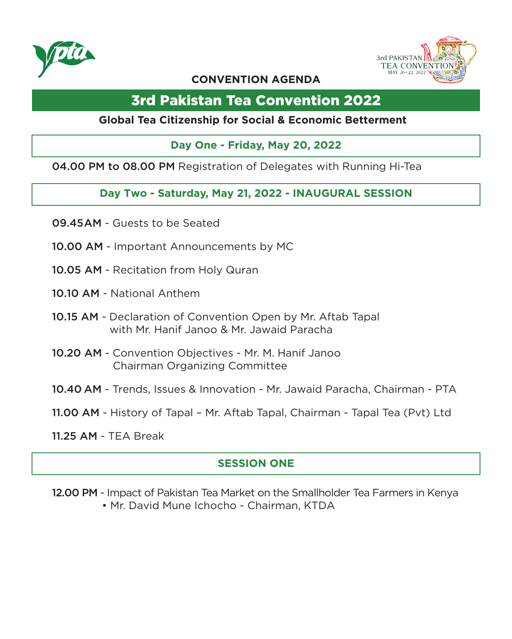



### **CONVENTION AGENDA**

# 3rd Pakistan Tea Convention 2022

### **Global Tea Citizenship for Social & Economic Betterment**

### **Day One - Friday, May 20, 2022**

04.00 PM to 08.00 PM Registration of Delegates with Running Hi-Tea

### **Day Two - Saturday, May 21, 2022 - INAUGURAL SESSION**

- 09.45 AM Guests to be Seated
- 10.00 AM Important Announcements by MC
- 10.05 AM Recitation from Holy Quran
- 10.10 AM National Anthem
- 10.15 AM Declaration of Convention Open by Mr. Aftab Tapal with Mr. Hanif Janoo & Mr. Jawaid Paracha
- 10.20 AM Convention Objectives Mr. M. Hanif Janoo Chairman Organizing Committee
- 10.40 AM Trends, Issues & Innovation Mr. Jawaid Paracha, Chairman PTA
- 11.00 AM History of Tapal Mr. Aftab Tapal, Chairman Tapal Tea (Pvt) Ltd
- 11.25 AM TEA Break

## **SESSION ONE**

12.00 PM - Impact of Pakistan Tea Market on the Smallholder Tea Farmers in Kenya • Mr. David Mune Ichocho - Chairman, KTDA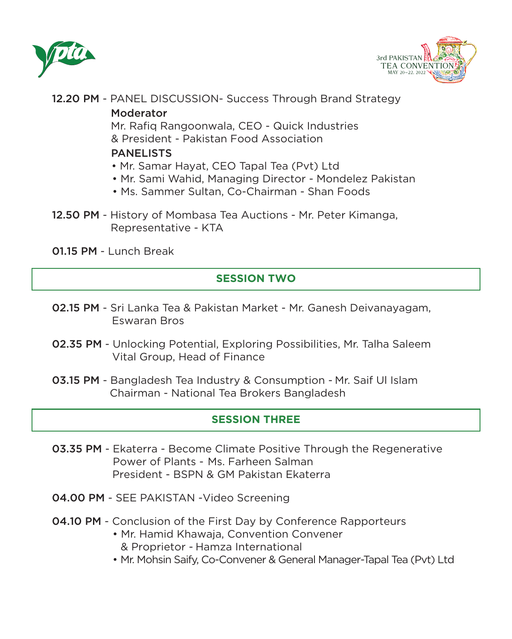



12.20 PM - PANEL DISCUSSION- Success Through Brand Strategy

#### Moderator

 Mr. Rafiq Rangoonwala, CEO - Quick Industries & President - Pakistan Food Association

### **PANELISTS**

- Mr. Samar Hayat, CEO Tapal Tea (Pvt) Ltd
- Mr. Sami Wahid, Managing Director Mondelez Pakistan
- Ms. Sammer Sultan, Co-Chairman Shan Foods
- 12.50 PM History of Mombasa Tea Auctions Mr. Peter Kimanga, Representative - KTA

01.15 PM - Lunch Break

# **SESSION TWO**

- 02.15 PM Sri Lanka Tea & Pakistan Market Mr. Ganesh Deivanayagam, Eswaran Bros
- 02.35 PM Unlocking Potential, Exploring Possibilities, Mr. Talha Saleem Vital Group, Head of Finance
- 03.15 PM Bangladesh Tea Industry & Consumption Mr. Saif Ul Islam Chairman - National Tea Brokers Bangladesh

## **SESSION THREE**

- 03.35 PM Ekaterra Become Climate Positive Through the Regenerative Power of Plants - Ms. Farheen Salman President - BSPN & GM Pakistan Ekaterra
- 04.00 PM SEE PAKISTAN -Video Screening
- **04.10 PM** Conclusion of the First Day by Conference Rapporteurs
	- Mr. Hamid Khawaja, Convention Convener & Proprietor - Hamza International
	- Mr. Mohsin Saify, Co-Convener & General Manager-Tapal Tea (Pvt) Ltd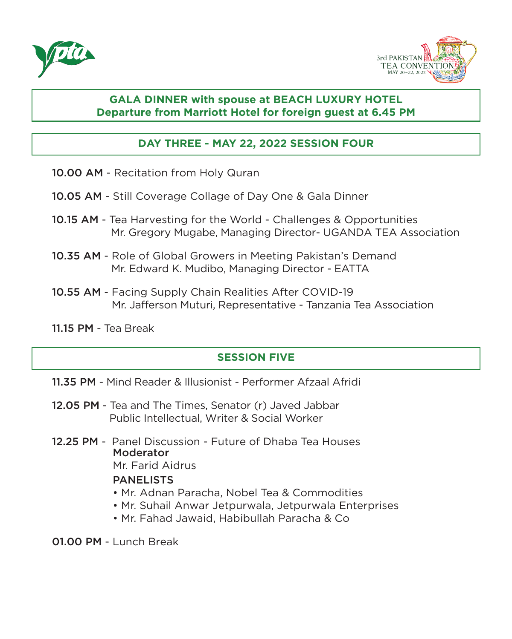



### **GALA DINNER with spouse at BEACH LUXURY HOTEL Departure from Marriott Hotel for foreign guest at 6.45 PM**

### **DAY THREE - MAY 22, 2022 SESSION FOUR**

- 10.00 AM Recitation from Holy Quran
- 10.05 AM Still Coverage Collage of Day One & Gala Dinner
- 10.15 AM Tea Harvesting for the World Challenges & Opportunities Mr. Gregory Mugabe, Managing Director- UGANDA TEA Association
- 10.35 AM Role of Global Growers in Meeting Pakistan's Demand Mr. Edward K. Mudibo, Managing Director - EATTA
- 10.55 AM Facing Supply Chain Realities After COVID-19 Mr. Jafferson Muturi, Representative - Tanzania Tea Association
- 11.15 PM Tea Break

### **SESSION FIVE**

- 11.35 PM Mind Reader & Illusionist Performer Afzaal Afridi
- 12.05 PM Tea and The Times, Senator (r) Javed Jabbar Public Intellectual, Writer & Social Worker
- 12.25 PM Panel Discussion Future of Dhaba Tea Houses **Moderator** Mr. Farid Aidrus

#### PANELISTS

- Mr. Adnan Paracha, Nobel Tea & Commodities
- Mr. Suhail Anwar Jetpurwala, Jetpurwala Enterprises
- Mr. Fahad Jawaid, Habibullah Paracha & Co

01.00 PM - Lunch Break